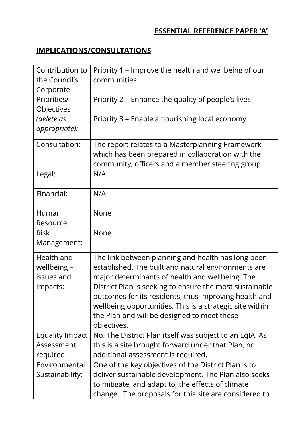## **ESSENTIAL REFERENCE PAPER 'A'**

## **IMPLICATIONS/CONSULTATIONS**

| Contribution to<br>the Council's<br>Corporate       | Priority 1 – Improve the health and wellbeing of our<br>communities                                                                                                                                                                                                                                                                                                                                        |
|-----------------------------------------------------|------------------------------------------------------------------------------------------------------------------------------------------------------------------------------------------------------------------------------------------------------------------------------------------------------------------------------------------------------------------------------------------------------------|
| Priorities/<br>Objectives                           | Priority 2 – Enhance the quality of people's lives                                                                                                                                                                                                                                                                                                                                                         |
| (delete as<br>appropriate):                         | Priority 3 - Enable a flourishing local economy                                                                                                                                                                                                                                                                                                                                                            |
| Consultation:                                       | The report relates to a Masterplanning Framework<br>which has been prepared in collaboration with the<br>community, officers and a member steering group.                                                                                                                                                                                                                                                  |
| Legal:                                              | N/A                                                                                                                                                                                                                                                                                                                                                                                                        |
| Financial:                                          | N/A                                                                                                                                                                                                                                                                                                                                                                                                        |
| Human<br>Resource:                                  | None                                                                                                                                                                                                                                                                                                                                                                                                       |
| <b>Risk</b><br>Management:                          | None                                                                                                                                                                                                                                                                                                                                                                                                       |
| Health and<br>wellbeing -<br>issues and<br>impacts: | The link between planning and health has long been<br>established. The built and natural environments are<br>major determinants of health and wellbeing. The<br>District Plan is seeking to ensure the most sustainable<br>outcomes for its residents, thus improving health and<br>wellbeing opportunities. This is a strategic site within<br>the Plan and will be designed to meet these<br>objectives. |
| Equality Impact<br>Assessment<br>required:          | No. The District Plan itself was subject to an EqIA. As<br>this is a site brought forward under that Plan, no<br>additional assessment is required.                                                                                                                                                                                                                                                        |
| Environmental<br>Sustainability:                    | One of the key objectives of the District Plan is to<br>deliver sustainable development. The Plan also seeks<br>to mitigate, and adapt to, the effects of climate<br>change. The proposals for this site are considered to                                                                                                                                                                                 |